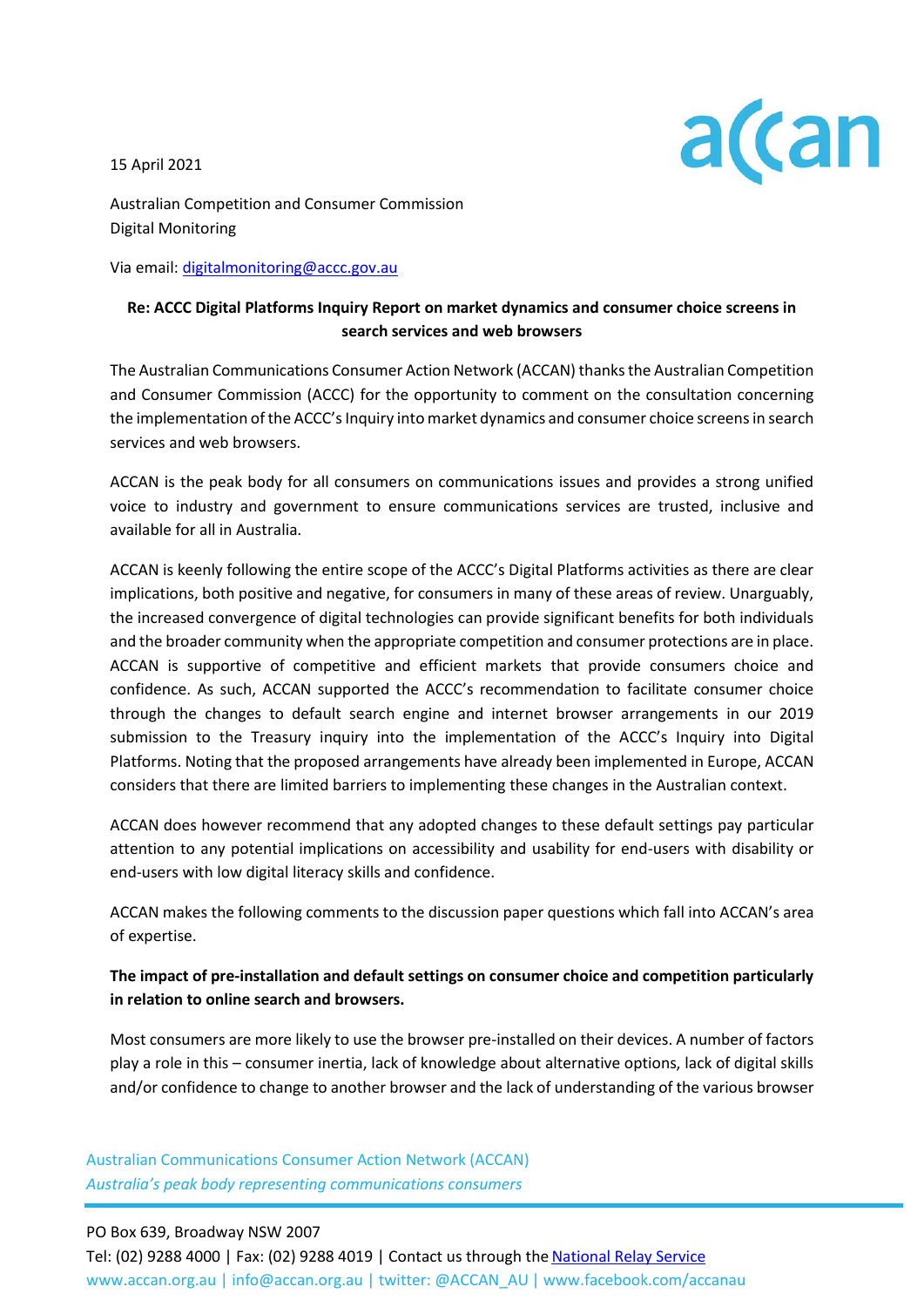15 April 2021



Australian Competition and Consumer Commission Digital Monitoring

Via email[: digitalmonitoring@accc.gov.au](mailto:digitalmonitoring@accc.gov.au)

## **Re: ACCC Digital Platforms Inquiry Report on market dynamics and consumer choice screens in search services and web browsers**

The Australian Communications Consumer Action Network (ACCAN) thanks the Australian Competition and Consumer Commission (ACCC) for the opportunity to comment on the consultation concerning the implementation of the ACCC's Inquiry into market dynamics and consumer choice screens in search services and web browsers.

ACCAN is the peak body for all consumers on communications issues and provides a strong unified voice to industry and government to ensure communications services are trusted, inclusive and available for all in Australia.

ACCAN is keenly following the entire scope of the ACCC's Digital Platforms activities as there are clear implications, both positive and negative, for consumers in many of these areas of review. Unarguably, the increased convergence of digital technologies can provide significant benefits for both individuals and the broader community when the appropriate competition and consumer protections are in place. ACCAN is supportive of competitive and efficient markets that provide consumers choice and confidence. As such, ACCAN supported the ACCC's recommendation to facilitate consumer choice through the changes to default search engine and internet browser arrangements in our 2019 submission to the Treasury inquiry into the implementation of the ACCC's Inquiry into Digital Platforms. Noting that the proposed arrangements have already been implemented in Europe, ACCAN considers that there are limited barriers to implementing these changes in the Australian context.

ACCAN does however recommend that any adopted changes to these default settings pay particular attention to any potential implications on accessibility and usability for end-users with disability or end-users with low digital literacy skills and confidence.

ACCAN makes the following comments to the discussion paper questions which fall into ACCAN's area of expertise.

# **The impact of pre-installation and default settings on consumer choice and competition particularly in relation to online search and browsers.**

Most consumers are more likely to use the browser pre-installed on their devices. A number of factors play a role in this – consumer inertia, lack of knowledge about alternative options, lack of digital skills and/or confidence to change to another browser and the lack of understanding of the various browser

Australian Communications Consumer Action Network (ACCAN) *Australia's peak body representing communications consumers*

#### PO Box 639, Broadway NSW 2007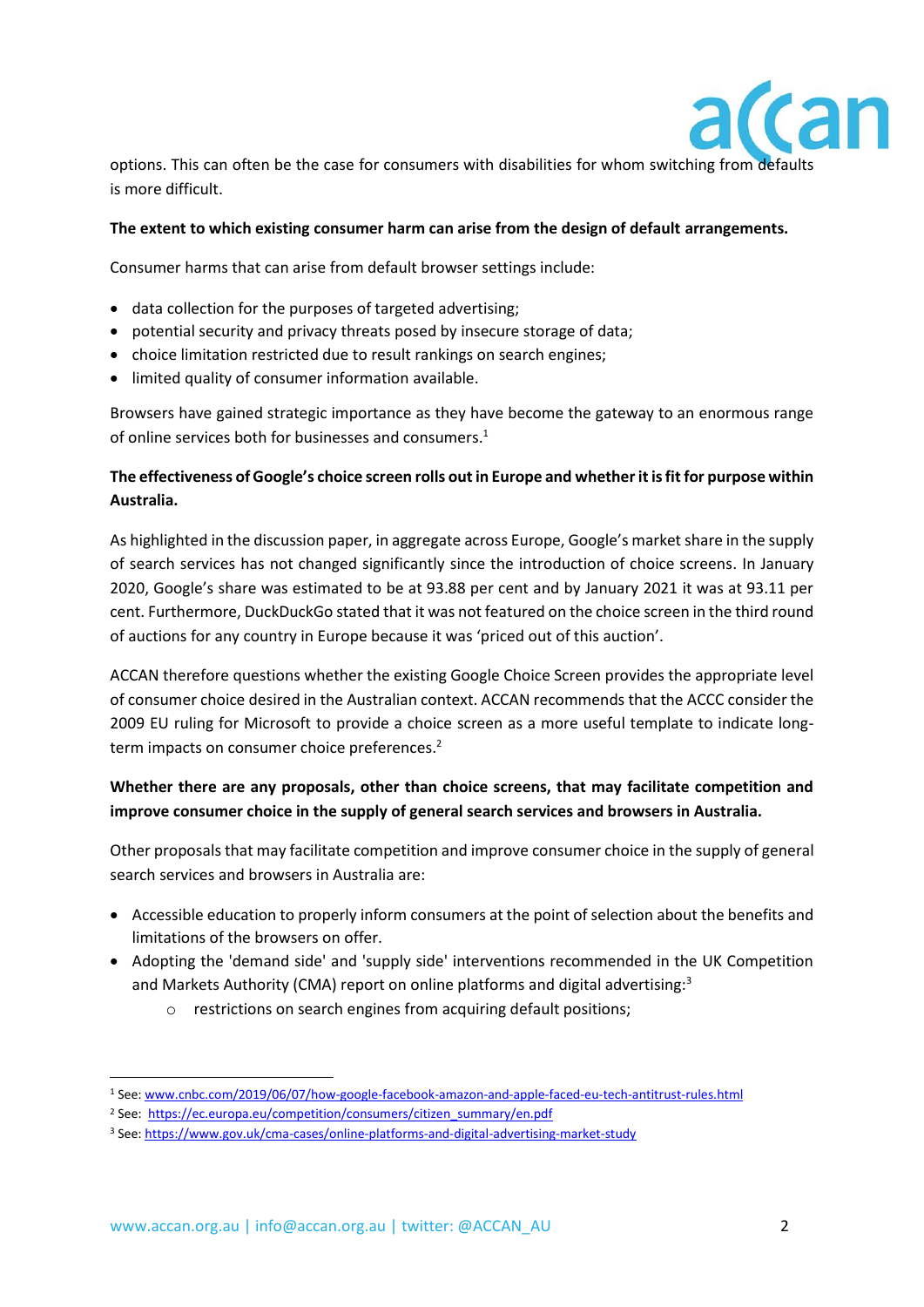

options. This can often be the case for consumers with disabilities for whom switching from defaults is more difficult.

#### **The extent to which existing consumer harm can arise from the design of default arrangements.**

Consumer harms that can arise from default browser settings include:

- data collection for the purposes of targeted advertising;
- potential security and privacy threats posed by insecure storage of data;
- choice limitation restricted due to result rankings on search engines;
- limited quality of consumer information available.

Browsers have gained strategic importance as they have become the gateway to an enormous range of online services both for businesses and consumers.<sup>1</sup>

## **The effectiveness of Google's choice screen rolls out in Europe and whether it is fit for purpose within Australia.**

As highlighted in the discussion paper, in aggregate across Europe, Google's market share in the supply of search services has not changed significantly since the introduction of choice screens. In January 2020, Google's share was estimated to be at 93.88 per cent and by January 2021 it was at 93.11 per cent. Furthermore, DuckDuckGo stated that it was not featured on the choice screen in the third round of auctions for any country in Europe because it was 'priced out of this auction'.

ACCAN therefore questions whether the existing Google Choice Screen provides the appropriate level of consumer choice desired in the Australian context. ACCAN recommends that the ACCC consider the 2009 EU ruling for Microsoft to provide a choice screen as a more useful template to indicate longterm impacts on consumer choice preferences.<sup>2</sup>

### **Whether there are any proposals, other than choice screens, that may facilitate competition and improve consumer choice in the supply of general search services and browsers in Australia.**

Other proposals that may facilitate competition and improve consumer choice in the supply of general search services and browsers in Australia are:

- Accessible education to properly inform consumers at the point of selection about the benefits and limitations of the browsers on offer.
- Adopting the 'demand side' and 'supply side' interventions recommended in the UK Competition and Markets Authority (CMA) report on online platforms and digital advertising:<sup>3</sup>
	- o restrictions on search engines from acquiring default positions;

<sup>1</sup> See[: www.cnbc.com/2019/06/07/how-google-facebook-amazon-and-apple-faced-eu-tech-antitrust-rules.html](http://www.cnbc.com/2019/06/07/how-google-facebook-amazon-and-apple-faced-eu-tech-antitrust-rules.html)

<sup>&</sup>lt;sup>2</sup> See: https://ec.europa.eu/competition/consumers/citizen\_summary/en.pdf

<sup>3</sup> See: <https://www.gov.uk/cma-cases/online-platforms-and-digital-advertising-market-study>